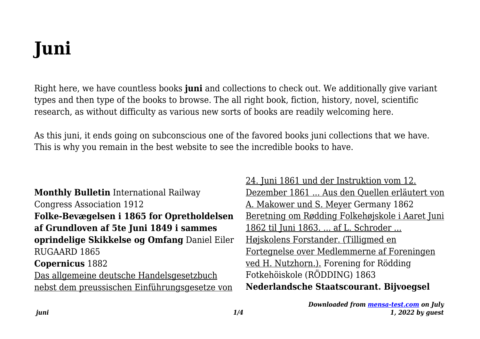# **Juni**

Right here, we have countless books **juni** and collections to check out. We additionally give variant types and then type of the books to browse. The all right book, fiction, history, novel, scientific research, as without difficulty as various new sorts of books are readily welcoming here.

As this juni, it ends going on subconscious one of the favored books juni collections that we have. This is why you remain in the best website to see the incredible books to have.

**Monthly Bulletin** International Railway Congress Association 1912 **Folke-Bevægelsen i 1865 for Opretholdelsen af Grundloven af 5te Juni 1849 i sammes oprindelige Skikkelse og Omfang** Daniel Eiler RUGAARD 1865 **Copernicus** 1882 Das allgemeine deutsche Handelsgesetzbuch nebst dem preussischen Einführungsgesetze von

24. Juni 1861 und der Instruktion vom 12. Dezember 1861 ... Aus den Quellen erläutert von A. Makower und S. Meyer Germany 1862 Beretning om Rødding Folkehøjskole i Aaret Juni 1862 til Juni 1863. ... af L. Schroder ... Højskolens Forstander. (Tilligmed en Fortegnelse over Medlemmerne af Foreningen ved H. Nutzhorn.). Forening for Rödding Fotkehöiskole (RÖDDING) 1863 **Nederlandsche Staatscourant. Bijvoegsel**

> *Downloaded from [mensa-test.com](https://mensa-test.com) on July 1, 2022 by guest*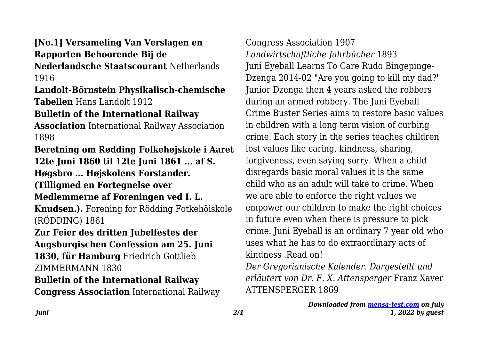## **[No.1] Versameling Van Verslagen en Rapporten Behoorende Bij de**

**Nederlandsche Staatscourant** Netherlands 1916

#### **Landolt-Börnstein Physikalisch-chemische Tabellen** Hans Landolt 1912

#### **Bulletin of the International Railway**

**Association** International Railway Association 1898

**Beretning om Rødding Folkehøjskole i Aaret 12te Juni 1860 til 12te Juni 1861 ... af S. Høgsbro ... Højskolens Forstander. (Tilligmed en Fortegnelse over**

#### **Medlemmerne af Foreningen ved I. L.**

**Knudsen.).** Forening for Rödding Fotkehöiskole (RÖDDING) 1861

### **Zur Feier des dritten Jubelfestes der Augsburgischen Confession am 25. Juni 1830, für Hamburg** Friedrich Gottlieb

ZIMMERMANN 1830

#### **Bulletin of the International Railway**

**Congress Association** International Railway

Congress Association 1907 *Landwirtschaftliche Jahrbücher* 1893 Juni Eyeball Learns To Care Rudo Bingepinge-Dzenga 2014-02 "Are you going to kill my dad?" Junior Dzenga then 4 years asked the robbers during an armed robbery. The Juni Eyeball Crime Buster Series aims to restore basic values in children with a long term vision of curbing crime. Each story in the series teaches children lost values like caring, kindness, sharing, forgiveness, even saying sorry. When a child disregards basic moral values it is the same child who as an adult will take to crime. When we are able to enforce the right values we empower our children to make the right choices in future even when there is pressure to pick crime. Juni Eyeball is an ordinary 7 year old who uses what he has to do extraordinary acts of kindness Read on!

*Der Gregorianische Kalender. Dargestellt und erläutert von Dr. F. X. Attensperger* Franz Xaver ATTENSPERGER 1869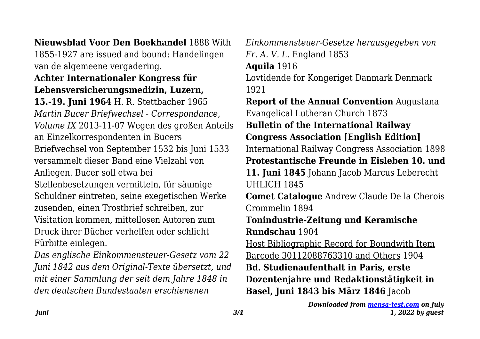**Nieuwsblad Voor Den Boekhandel** 1888 With

1855-1927 are issued and bound: Handelingen van de algemeene vergadering.

#### **Achter Internationaler Kongress für Lebensversicherungsmedizin, Luzern,**

**15.-19. Juni 1964** H. R. Stettbacher 1965 *Martin Bucer Briefwechsel - Correspondance, Volume IX* 2013-11-07 Wegen des großen Anteils an Einzelkorrespondenten in Bucers Briefwechsel von September 1532 bis Juni 1533 versammelt dieser Band eine Vielzahl von Anliegen. Bucer soll etwa bei

Stellenbesetzungen vermitteln, für säumige Schuldner eintreten, seine exegetischen Werke zusenden, einen Trostbrief schreiben, zur Visitation kommen, mittellosen Autoren zum Druck ihrer Bücher verhelfen oder schlicht Fürbitte einlegen.

*Das englische Einkommensteuer-Gesetz vom 22 Juni 1842 aus dem Original-Texte übersetzt, und mit einer Sammlung der seit dem Jahre 1848 in den deutschen Bundestaaten erschienenen*

*Einkommensteuer-Gesetze herausgegeben von Fr. A. V. L.* England 1853

**Aquila** 1916

Lovtidende for Kongeriget Danmark Denmark 1921

**Report of the Annual Convention** Augustana Evangelical Lutheran Church 1873

**Bulletin of the International Railway**

**Congress Association [English Edition]**

International Railway Congress Association 1898

**Protestantische Freunde in Eisleben 10. und**

**11. Juni 1845** Johann Jacob Marcus Leberecht UHLICH 1845

**Comet Catalogue** Andrew Claude De la Cherois Crommelin 1894

**Tonindustrie-Zeitung und Keramische Rundschau** 1904

Host Bibliographic Record for Boundwith Item Barcode 30112088763310 and Others 1904 **Bd. Studienaufenthalt in Paris, erste Dozentenjahre und Redaktionstätigkeit in Basel, Juni 1843 bis März 1846** Jacob